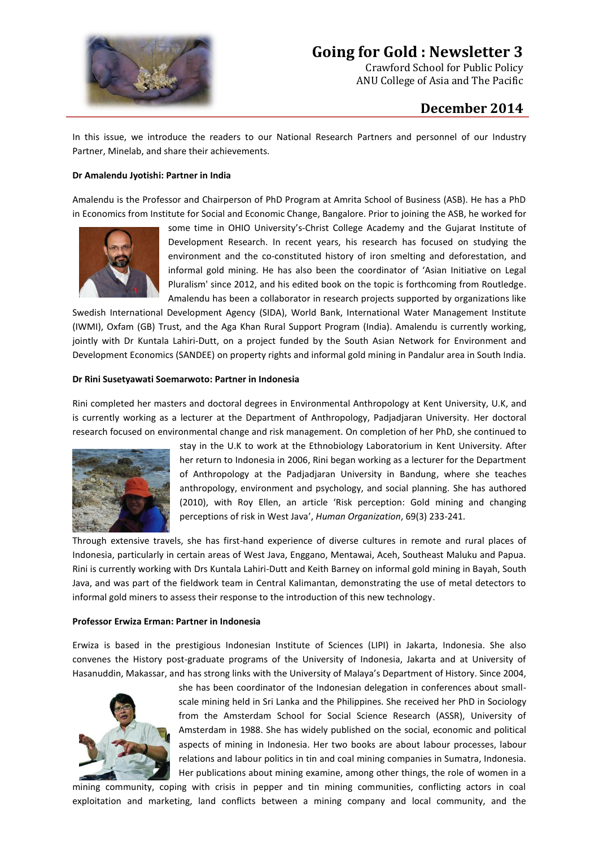

# **Going for Gold : Newsletter 3**

Crawford School for Public Policy ANU College of Asia and The Pacific

# **December 2014**

In this issue, we introduce the readers to our National Research Partners and personnel of our Industry Partner, Minelab, and share their achievements.

# **Dr Amalendu Jyotishi: Partner in India**

Amalendu is the Professor and Chairperson of PhD Program at Amrita School of Business (ASB). He has a PhD in Economics from Institute for Social and Economic Change, Bangalore. Prior to joining the ASB, he worked for



some time in OHIO University's-Christ College Academy and the Gujarat Institute of Development Research. In recent years, his research has focused on studying the environment and the co-constituted history of iron smelting and deforestation, and informal gold mining. He has also been the coordinator of 'Asian Initiative on Legal Pluralism' since 2012, and his edited book on the topic is forthcoming from Routledge. Amalendu has been a collaborator in research projects supported by organizations like

Swedish International Development Agency (SIDA), World Bank, International Water Management Institute (IWMI), Oxfam (GB) Trust, and the Aga Khan Rural Support Program (India). Amalendu is currently working, jointly with Dr Kuntala Lahiri-Dutt, on a project funded by the South Asian Network for Environment and Development Economics (SANDEE) on property rights and informal gold mining in Pandalur area in South India.

### **Dr Rini Susetyawati Soemarwoto: Partner in Indonesia**

Rini completed her masters and doctoral degrees in Environmental Anthropology at Kent University, U.K, and is currently working as a lecturer at the Department of Anthropology, Padjadjaran University. Her doctoral research focused on environmental change and risk management. On completion of her PhD, she continued to



stay in the U.K to work at the Ethnobiology Laboratorium in Kent University. After her return to Indonesia in 2006, Rini began working as a lecturer for the Department of Anthropology at the Padjadjaran University in Bandung, where she teaches anthropology, environment and psychology, and social planning. She has authored (2010), with Roy Ellen, an article 'Risk perception: Gold mining and changing perceptions of risk in West Java', *Human Organization*, 69(3) 233-241.

Through extensive travels, she has first-hand experience of diverse cultures in remote and rural places of Indonesia, particularly in certain areas of West Java, Enggano, Mentawai, Aceh, Southeast Maluku and Papua. Rini is currently working with Drs Kuntala Lahiri-Dutt and Keith Barney on informal gold mining in Bayah, South Java, and was part of the fieldwork team in Central Kalimantan, demonstrating the use of metal detectors to informal gold miners to assess their response to the introduction of this new technology.

## **Professor Erwiza Erman: Partner in Indonesia**

Erwiza is based in the prestigious Indonesian Institute of Sciences (LIPI) in Jakarta, Indonesia. She also convenes the History post-graduate programs of the University of Indonesia, Jakarta and at University of Hasanuddin, Makassar, and has strong links with the University of Malaya's Department of History. Since 2004,



she has been coordinator of the Indonesian delegation in conferences about smallscale mining held in Sri Lanka and the Philippines. She received her PhD in Sociology from the Amsterdam School for Social Science Research (ASSR), University of Amsterdam in 1988. She has widely published on the social, economic and political aspects of mining in Indonesia. Her two books are about labour processes, labour relations and labour politics in tin and coal mining companies in Sumatra, Indonesia. Her publications about mining examine, among other things, the role of women in a

mining community, coping with crisis in pepper and tin mining communities, conflicting actors in coal exploitation and marketing, land conflicts between a mining company and local community, and the